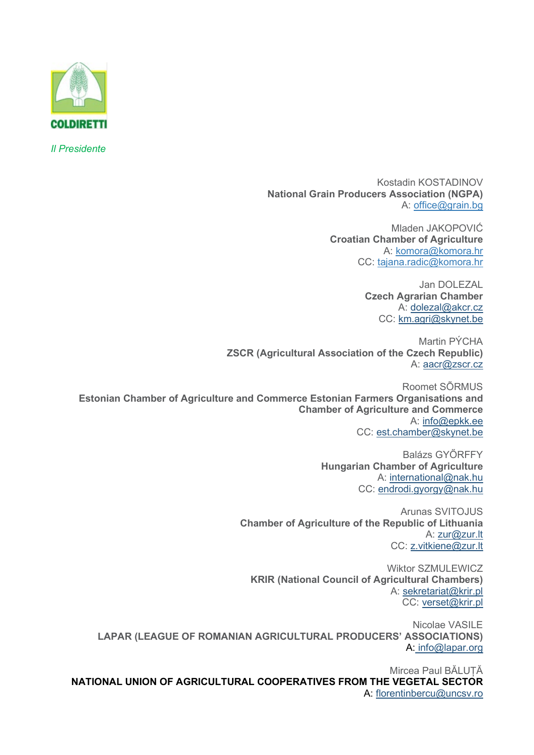

*Il Presidente*

Kostadin KOSTADINOV **National Grain Producers Association (NGPA)** A: [office@grain.bg](mailto:office@grain.bg)

> Mladen JAKOPOVIĆ **Croatian Chamber of Agriculture** A: [komora@komora.hr](mailto:komora@komora.hr) CC: [tajana.radic@komora.hr](mailto:tajana.radic@komora.hr)

> > Jan DOLEZAL **Czech Agrarian Chamber** A: [dolezal@akcr.cz](mailto:dolezal@akcr.cz) CC: [km.agri@skynet.be](mailto:km.agri@skynet.be)

Martin PÝCHA **ZSCR (Agricultural Association of the Czech Republic)** A: [aacr@zscr.cz](mailto:aacr@zscr.cz)

Roomet SÕRMUS **Estonian Chamber of Agriculture and Commerce Estonian Farmers Organisations and Chamber of Agriculture and Commerce** A: [info@epkk.ee](mailto:info@epkk.ee) CC: [est.chamber@skynet.be](mailto:est.chamber@skynet.be)

> Balázs GYŐRFFY **Hungarian Chamber of Agriculture** A: [international@nak.hu](mailto:international@nak.hu) CC: [endrodi.gyorgy@nak.hu](mailto:endrodi.gyorgy@nak.hu)

Arunas SVITOJUS **Chamber of Agriculture of the Republic of Lithuania** A: [zur@zur.lt](mailto:zur@zur.lt) CC: [z.vitkiene@zur.lt](mailto:z.vitkiene@zur.lt)

Wiktor SZMULEWICZ **KRIR (National Council of Agricultural Chambers)** A: [sekretariat@krir.pl](mailto:sekretariat@krir.pl) CC: [verset@krir.pl](mailto:verset@krir.pl)

Nicolae VASILE **LAPAR (LEAGUE OF ROMANIAN AGRICULTURAL PRODUCERS' ASSOCIATIONS)** A: [info@lapar.org](mailto:info@lapar.org)

Mircea Paul BĂLUȚĂ **NATIONAL UNION OF AGRICULTURAL COOPERATIVES FROM THE VEGETAL SECTOR** A: [florentinbercu@uncsv.ro](mailto:florentinbercu@uncsv.ro)